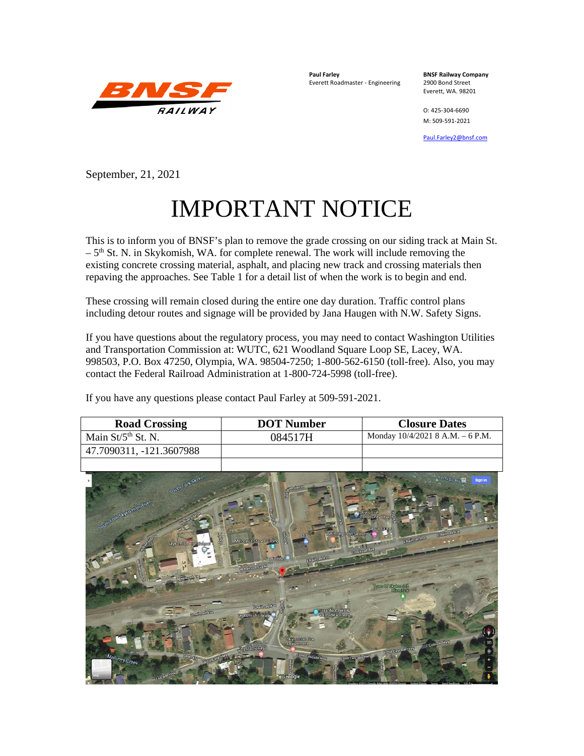

**Paul Farley BNSF Railway Company**<br>**Everett Roadmaster - Engineering 2900 Bond Street** Everett Roadmaster - Engineering

Everett, WA. 98201

O: 425-304-6690 M: 509-591-2021

[Paul.Farley2@bnsf.com](mailto:Paul.Farley2@bnsf.com)

September, 21, 2021

## IMPORTANT NOTICE

This is to inform you of BNSF's plan to remove the grade crossing on our siding track at Main St.  $-5<sup>th</sup>$  St. N. in Skykomish, WA. for complete renewal. The work will include removing the existing concrete crossing material, asphalt, and placing new track and crossing materials then repaving the approaches. See Table 1 for a detail list of when the work is to begin and end.

These crossing will remain closed during the entire one day duration. Traffic control plans including detour routes and signage will be provided by Jana Haugen with N.W. Safety Signs.

If you have questions about the regulatory process, you may need to contact Washington Utilities and Transportation Commission at: WUTC, 621 Woodland Square Loop SE, Lacey, WA. 998503, P.O. Box 47250, Olympia, WA. 98504-7250; 1-800-562-6150 (toll-free). Also, you may contact the Federal Railroad Administration at 1-800-724-5998 (toll-free).

If you have any questions please contact Paul Farley at 509-591-2021.

| <b>Road Crossing</b>                                                                           | <b>DOT Number</b>                                                                                                                                                                                                                              | <b>Closure Dates</b>                                                                                                                                                                                                          |
|------------------------------------------------------------------------------------------------|------------------------------------------------------------------------------------------------------------------------------------------------------------------------------------------------------------------------------------------------|-------------------------------------------------------------------------------------------------------------------------------------------------------------------------------------------------------------------------------|
| Main St/5 <sup>th</sup> St. N.                                                                 | 084517H                                                                                                                                                                                                                                        | Monday 10/4/2021 8 A.M. - 6 P.M.                                                                                                                                                                                              |
| 47.7090311, -121.3607988                                                                       |                                                                                                                                                                                                                                                |                                                                                                                                                                                                                               |
|                                                                                                |                                                                                                                                                                                                                                                |                                                                                                                                                                                                                               |
| South Fork Skykov<br>som fork suvomen aver<br>智易<br>Skykom shiftigh Salipat<br><b>SUIT-DAO</b> | gersloe b<br>È<br>Whistling Post Salbon<br>e<br>M<br>Malaney's Store Bullding<br>Skykomish<br><b>BESTREED AVO</b><br>W.R. Troud Ave N<br><b>SEITIME AND</b><br>Great-Northern &<br>Skykomich Library<br>reade Railway<br><b>Siykemish Fire</b> | <b><i>Exemist River</i></b><br>Stan in<br>Skykemist<br>Community Church<br><b>Cassadian</b><br><b>LRabord Ave</b><br><b>B. Ralley to Ave.</b><br><b>A.R. Choose Avice</b><br><b>Journ Of Styliam of</b><br><b>Elizo Barri</b> |
| Maloney Creek<br><b>Change</b>                                                                 | King County<br>Lite Mismango<br><b>Department</b><br><b>GOM Gascade Hwy</b><br>L'Old Guyesde Mani                                                                                                                                              | E Cascade Hwy<br>E 3M Gaseade Hwy                                                                                                                                                                                             |
|                                                                                                | Google                                                                                                                                                                                                                                         |                                                                                                                                                                                                                               |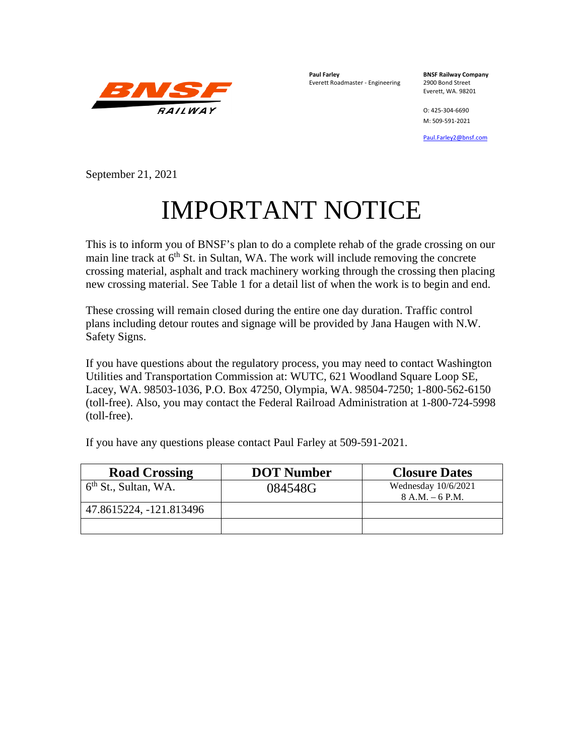

**Paul Farley BNSF Railway Company**<br>**Everett Roadmaster - Engineering 2900 Bond Street** Everett Roadmaster - Engineering

Everett, WA. 98201

O: 425-304-6690 M: 509-591-2021

[Paul.Farley2@bnsf.com](mailto:Paul.Farley2@bnsf.com)

September 21, 2021

## IMPORTANT NOTICE

This is to inform you of BNSF's plan to do a complete rehab of the grade crossing on our main line track at  $6<sup>th</sup>$  St. in Sultan, WA. The work will include removing the concrete crossing material, asphalt and track machinery working through the crossing then placing new crossing material. See Table 1 for a detail list of when the work is to begin and end.

These crossing will remain closed during the entire one day duration. Traffic control plans including detour routes and signage will be provided by Jana Haugen with N.W. Safety Signs.

If you have questions about the regulatory process, you may need to contact Washington Utilities and Transportation Commission at: WUTC, 621 Woodland Square Loop SE, Lacey, WA. 98503-1036, P.O. Box 47250, Olympia, WA. 98504-7250; 1-800-562-6150 (toll-free). Also, you may contact the Federal Railroad Administration at 1-800-724-5998 (toll-free).

If you have any questions please contact Paul Farley at 509-591-2021.

| <b>Road Crossing</b>             | <b>DOT Number</b> | <b>Closure Dates</b>                       |
|----------------------------------|-------------------|--------------------------------------------|
| 6 <sup>th</sup> St., Sultan, WA. | 084548G           | Wednesday $10/6/2021$<br>$8 A.M. - 6 P.M.$ |
| 47.8615224, -121.813496          |                   |                                            |
|                                  |                   |                                            |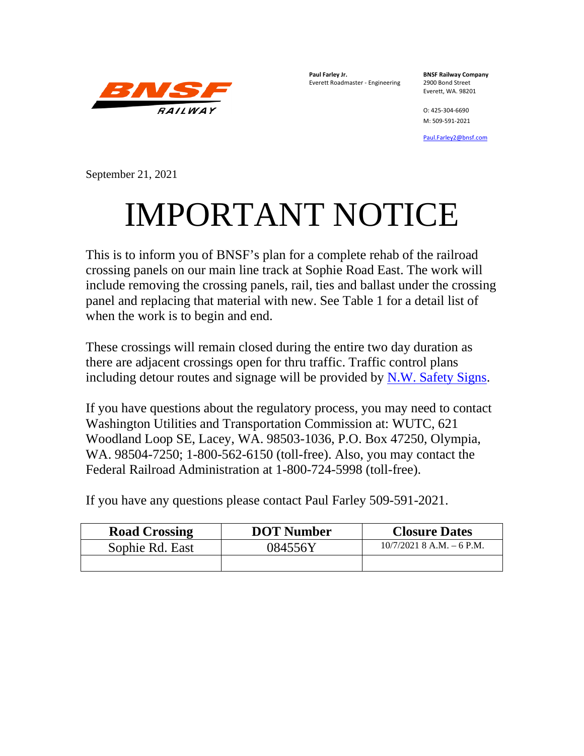

**Paul Farley Jr. BNSF Railway Company** Everett Roadmaster - Engineering 2900 Bond Street

Everett, WA. 98201

O: 425-304-6690 M: 509-591-2021

[Paul.Farley2@bnsf.com](mailto:Paul.Farley2@bnsf.com)

September 21, 2021

## IMPORTANT NOTICE

This is to inform you of BNSF's plan for a complete rehab of the railroad crossing panels on our main line track at Sophie Road East. The work will include removing the crossing panels, rail, ties and ballast under the crossing panel and replacing that material with new. See Table 1 for a detail list of when the work is to begin and end.

These crossings will remain closed during the entire two day duration as there are adjacent crossings open for thru traffic. Traffic control plans including detour routes and signage will be provided by [N.W. Safety Signs.](http://www.safetysignsinc.com/)

If you have questions about the regulatory process, you may need to contact Washington Utilities and Transportation Commission at: WUTC, 621 Woodland Loop SE, Lacey, WA. 98503-1036, P.O. Box 47250, Olympia, WA. 98504-7250; 1-800-562-6150 (toll-free). Also, you may contact the Federal Railroad Administration at 1-800-724-5998 (toll-free).

If you have any questions please contact Paul Farley 509-591-2021.

| <b>Road Crossing</b> | <b>DOT Number</b> | <b>Closure Dates</b>        |
|----------------------|-------------------|-----------------------------|
| Sophie Rd. East      | 084556Y           | $10/7/2021$ 8 A.M. – 6 P.M. |
|                      |                   |                             |